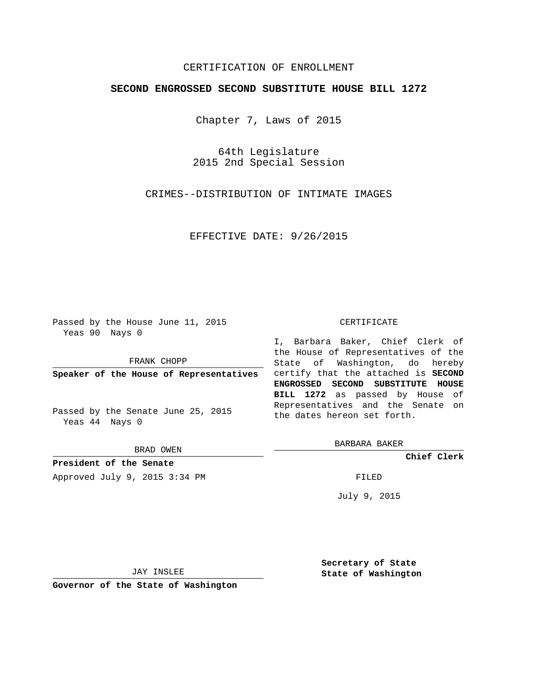## CERTIFICATION OF ENROLLMENT

## **SECOND ENGROSSED SECOND SUBSTITUTE HOUSE BILL 1272**

Chapter 7, Laws of 2015

64th Legislature 2015 2nd Special Session

CRIMES--DISTRIBUTION OF INTIMATE IMAGES

EFFECTIVE DATE: 9/26/2015

Passed by the House June 11, 2015 Yeas 90 Nays 0

FRANK CHOPP

Passed by the Senate June 25, 2015 Yeas 44 Nays 0

BRAD OWEN

**President of the Senate** Approved July 9, 2015 3:34 PM FILED

## CERTIFICATE

**Speaker of the House of Representatives** certify that the attached is **SECOND** I, Barbara Baker, Chief Clerk of the House of Representatives of the State of Washington, do hereby **ENGROSSED SECOND SUBSTITUTE HOUSE BILL 1272** as passed by House of Representatives and the Senate on the dates hereon set forth.

BARBARA BAKER

**Chief Clerk**

July 9, 2015

JAY INSLEE

**Governor of the State of Washington**

**Secretary of State State of Washington**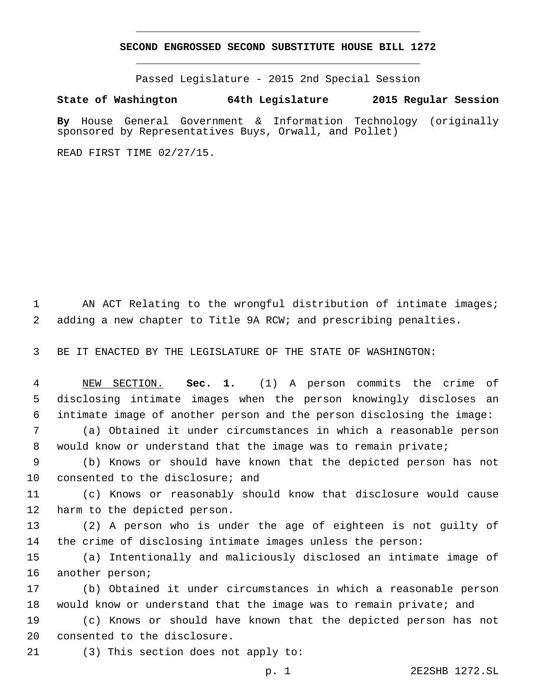## **SECOND ENGROSSED SECOND SUBSTITUTE HOUSE BILL 1272**

Passed Legislature - 2015 2nd Special Session

**State of Washington 64th Legislature 2015 Regular Session**

**By** House General Government & Information Technology (originally sponsored by Representatives Buys, Orwall, and Pollet)

READ FIRST TIME 02/27/15.

1 AN ACT Relating to the wrongful distribution of intimate images; 2 adding a new chapter to Title 9A RCW; and prescribing penalties.

3 BE IT ENACTED BY THE LEGISLATURE OF THE STATE OF WASHINGTON:

4 NEW SECTION. **Sec. 1.** (1) A person commits the crime of 5 disclosing intimate images when the person knowingly discloses an 6 intimate image of another person and the person disclosing the image:

7 (a) Obtained it under circumstances in which a reasonable person 8 would know or understand that the image was to remain private;

9 (b) Knows or should have known that the depicted person has not 10 consented to the disclosure; and

11 (c) Knows or reasonably should know that disclosure would cause 12 harm to the depicted person.

13 (2) A person who is under the age of eighteen is not guilty of 14 the crime of disclosing intimate images unless the person:

15 (a) Intentionally and maliciously disclosed an intimate image of 16 another person;

17 (b) Obtained it under circumstances in which a reasonable person 18 would know or understand that the image was to remain private; and

19 (c) Knows or should have known that the depicted person has not 20 consented to the disclosure.

21 (3) This section does not apply to:

p. 1 2E2SHB 1272.SL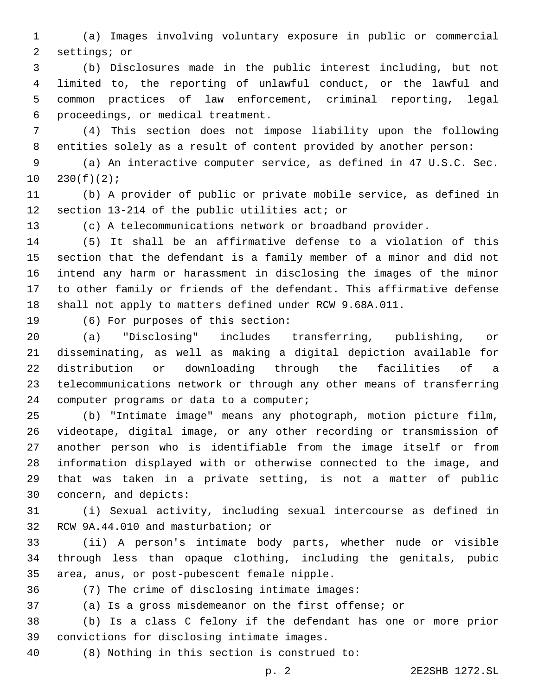(a) Images involving voluntary exposure in public or commercial 2 settings; or

 (b) Disclosures made in the public interest including, but not limited to, the reporting of unlawful conduct, or the lawful and common practices of law enforcement, criminal reporting, legal 6 proceedings, or medical treatment.

 (4) This section does not impose liability upon the following entities solely as a result of content provided by another person:

 (a) An interactive computer service, as defined in 47 U.S.C. Sec.  $10 \quad 230(f)(2);$ 

 (b) A provider of public or private mobile service, as defined in 12 section  $13-214$  of the public utilities act; or

(c) A telecommunications network or broadband provider.

 (5) It shall be an affirmative defense to a violation of this section that the defendant is a family member of a minor and did not intend any harm or harassment in disclosing the images of the minor to other family or friends of the defendant. This affirmative defense shall not apply to matters defined under RCW 9.68A.011.

19 (6) For purposes of this section:

 (a) "Disclosing" includes transferring, publishing, or disseminating, as well as making a digital depiction available for distribution or downloading through the facilities of a telecommunications network or through any other means of transferring 24 computer programs or data to a computer;

 (b) "Intimate image" means any photograph, motion picture film, videotape, digital image, or any other recording or transmission of another person who is identifiable from the image itself or from information displayed with or otherwise connected to the image, and that was taken in a private setting, is not a matter of public 30 concern, and depicts:

 (i) Sexual activity, including sexual intercourse as defined in 32 RCW 9A.44.010 and masturbation; or

 (ii) A person's intimate body parts, whether nude or visible through less than opaque clothing, including the genitals, pubic 35 area, anus, or post-pubescent female nipple.

(7) The crime of disclosing intimate images:36

(a) Is a gross misdemeanor on the first offense; or

 (b) Is a class C felony if the defendant has one or more prior 39 convictions for disclosing intimate images.

(8) Nothing in this section is construed to:40